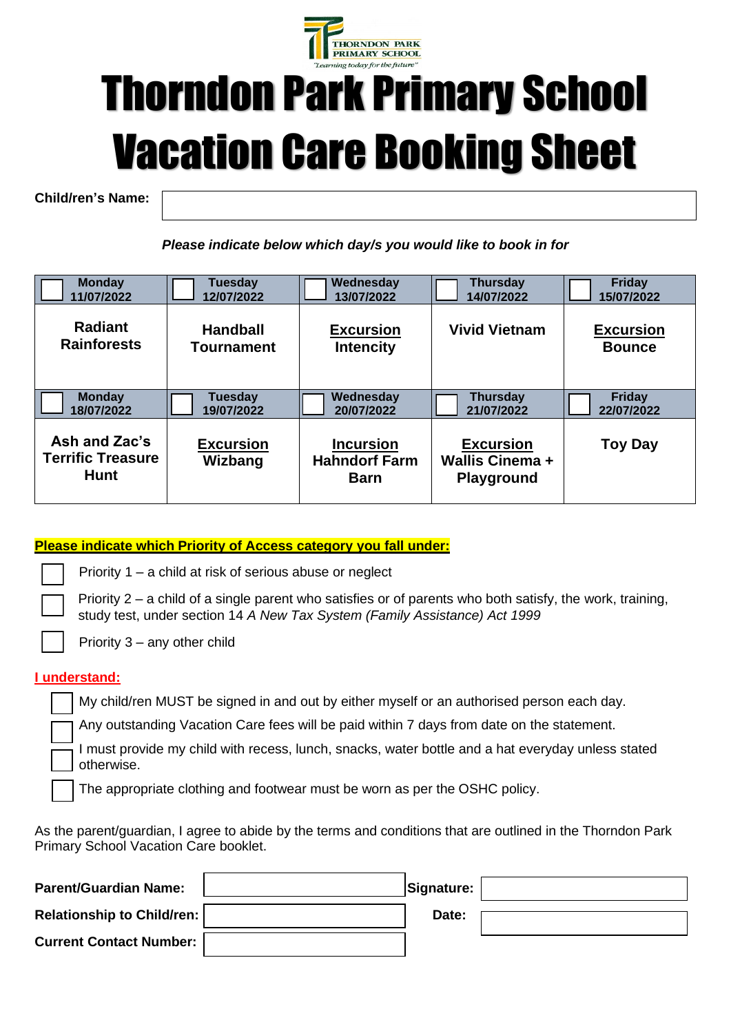

# Thorndon Park Primary School Vacation Care Booking Sheet

**Child/ren's Name:**

*Please indicate below which day/s you would like to book in for*

 $\overline{a}$ 

| <b>Monday</b>                                            | Tuesday                     | Wednesday                                               | <b>Thursday</b>                                          | <b>Friday</b>    |
|----------------------------------------------------------|-----------------------------|---------------------------------------------------------|----------------------------------------------------------|------------------|
| 11/07/2022                                               | 12/07/2022                  | 13/07/2022                                              | 14/07/2022                                               | 15/07/2022       |
| <b>Radiant</b>                                           | <b>Handball</b>             | <b>Excursion</b>                                        | <b>Vivid Vietnam</b>                                     | <b>Excursion</b> |
| <b>Rainforests</b>                                       | <b>Tournament</b>           | <b>Intencity</b>                                        |                                                          | <b>Bounce</b>    |
| <b>Monday</b>                                            | Tuesday                     | Wednesday                                               | <b>Thursday</b>                                          | <b>Friday</b>    |
| 18/07/2022                                               | 19/07/2022                  | 20/07/2022                                              | 21/07/2022                                               | 22/07/2022       |
| Ash and Zac's<br><b>Terrific Treasure</b><br><b>Hunt</b> | <b>Excursion</b><br>Wizbang | <b>Incursion</b><br><b>Hahndorf Farm</b><br><b>Barn</b> | <b>Excursion</b><br>Wallis Cinema +<br><b>Playground</b> | <b>Toy Day</b>   |

#### **Please indicate which Priority of Access category you fall under:**

Priority 1 – a child at risk of serious abuse or neglect

Priority  $2 - a$  child of a single parent who satisfies or of parents who both satisfy, the work, training, study test, under section 14 *A New Tax System (Family Assistance) Act 1999*

Priority 3 – any other child

#### **I understand:**

My child/ren MUST be signed in and out by either myself or an authorised person each day.

Any outstanding Vacation Care fees will be paid within 7 days from date on the statement.

I must provide my child with recess, lunch, snacks, water bottle and a hat everyday unless stated otherwise.

The appropriate clothing and footwear must be worn as per the OSHC policy.

As the parent/guardian, I agree to abide by the terms and conditions that are outlined in the Thorndon Park Primary School Vacation Care booklet.

| <b>Parent/Guardian Name:</b>      | Signature: |  |
|-----------------------------------|------------|--|
| <b>Relationship to Child/ren:</b> | Date:      |  |
| <b>Current Contact Number:</b>    |            |  |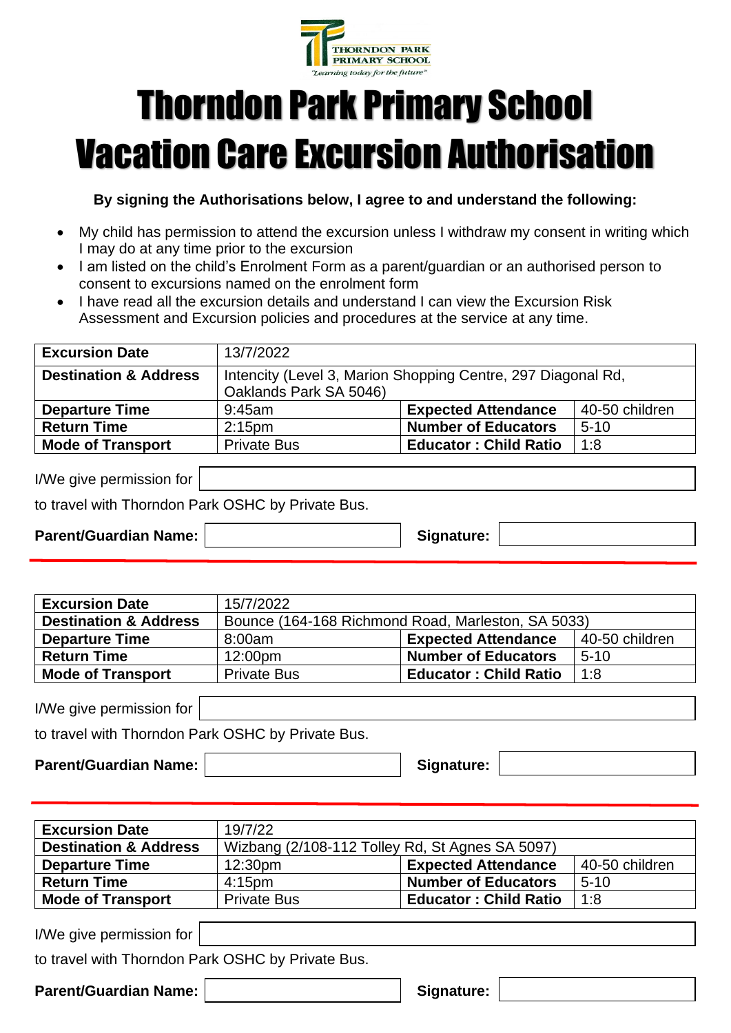

## Thorndon Park Primary School Vacation Care Excursion Authorisation

**By signing the Authorisations below, I agree to and understand the following:**

- My child has permission to attend the excursion unless I withdraw my consent in writing which I may do at any time prior to the excursion
- I am listed on the child's Enrolment Form as a parent/guardian or an authorised person to consent to excursions named on the enrolment form
- I have read all the excursion details and understand I can view the Excursion Risk Assessment and Excursion policies and procedures at the service at any time.

| <b>Excursion Date</b>            | 13/7/2022                                                                              |                              |                |
|----------------------------------|----------------------------------------------------------------------------------------|------------------------------|----------------|
| <b>Destination &amp; Address</b> | Intencity (Level 3, Marion Shopping Centre, 297 Diagonal Rd,<br>Oaklands Park SA 5046) |                              |                |
| <b>Departure Time</b>            | $9:45$ am                                                                              | <b>Expected Attendance</b>   | 40-50 children |
| <b>Return Time</b>               | 2:15 <sub>pm</sub>                                                                     | <b>Number of Educators</b>   | $5 - 10$       |
| <b>Mode of Transport</b>         | <b>Private Bus</b>                                                                     | <b>Educator: Child Ratio</b> | 1:8            |

| I/We give permission for |  |
|--------------------------|--|
|                          |  |

to travel with Thorndon Park OSHC by Private Bus.

Parent/Guardian Name: **Name:** Signature:

| <b>Excursion Date</b>            | 15/7/2022                                          |                              |                |
|----------------------------------|----------------------------------------------------|------------------------------|----------------|
| <b>Destination &amp; Address</b> | Bounce (164-168 Richmond Road, Marleston, SA 5033) |                              |                |
| <b>Departure Time</b>            | 8:00am                                             | <b>Expected Attendance</b>   | 40-50 children |
| <b>Return Time</b>               | $12:00 \text{pm}$                                  | <b>Number of Educators</b>   | $5 - 10$       |
| <b>Mode of Transport</b>         | <b>Private Bus</b>                                 | <b>Educator: Child Ratio</b> | 1.8            |

I/We give permission for

to travel with Thorndon Park OSHC by Private Bus.

Parent/Guardian Name: **Name:** Signature:

| <b>Excursion Date</b>            | 19/7/22                                         |                              |                |
|----------------------------------|-------------------------------------------------|------------------------------|----------------|
| <b>Destination &amp; Address</b> | Wizbang (2/108-112 Tolley Rd, St Agnes SA 5097) |                              |                |
| <b>Departure Time</b>            | 12:30 <sub>pm</sub>                             | <b>Expected Attendance</b>   | 40-50 children |
| <b>Return Time</b>               | $4:15$ pm                                       | <b>Number of Educators</b>   | $5 - 10$       |
| <b>Mode of Transport</b>         | <b>Private Bus</b>                              | <b>Educator: Child Ratio</b> | 1:8            |

I/We give permission for

to travel with Thorndon Park OSHC by Private Bus.

Parent/Guardian Name: **Name: Signature: Signature:**